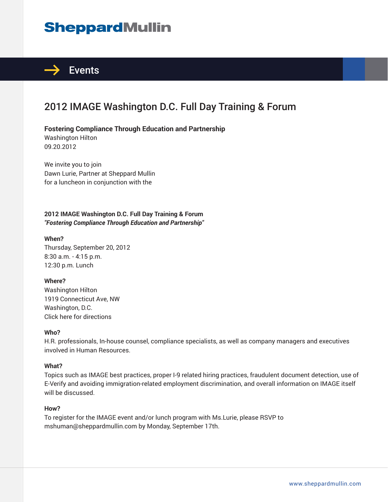# **SheppardMullin**



## 2012 IMAGE Washington D.C. Full Day Training & Forum

### **Fostering Compliance Through Education and Partnership**

Washington Hilton 09.20.2012

We invite you to join Dawn Lurie, Partner at Sheppard Mullin for a luncheon in conjunction with the

### **2012 IMAGE Washington D.C. Full Day Training & Forum** *"Fostering Compliance Through Education and Partnership"*

#### **When?**

Thursday, September 20, 2012 8:30 a.m. - 4:15 p.m. 12:30 p.m. Lunch

#### **Where?**

Washington Hilton 1919 Connecticut Ave, NW Washington, D.C. Click here for directions

#### **Who?**

H.R. professionals, In-house counsel, compliance specialists, as well as company managers and executives involved in Human Resources.

#### **What?**

Topics such as IMAGE best practices, proper I-9 related hiring practices, fraudulent document detection, use of E-Verify and avoiding immigration-related employment discrimination, and overall information on IMAGE itself will be discussed.

#### **How?**

To register for the IMAGE event and/or lunch program with Ms.Lurie, please RSVP to mshuman@sheppardmullin.com by Monday, September 17th.